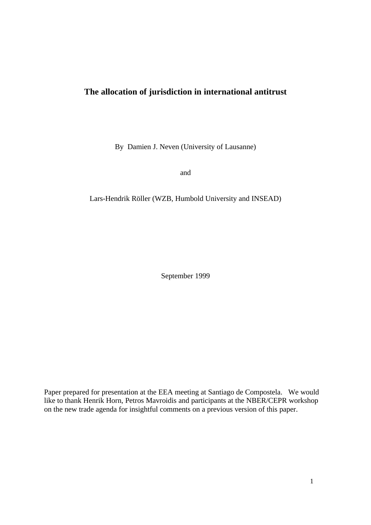# **The allocation of jurisdiction in international antitrust**

By Damien J. Neven (University of Lausanne)

and

Lars-Hendrik Röller (WZB, Humbold University and INSEAD)

September 1999

Paper prepared for presentation at the EEA meeting at Santiago de Compostela. We would like to thank Henrik Horn, Petros Mavroidis and participants at the NBER/CEPR workshop on the new trade agenda for insightful comments on a previous version of this paper.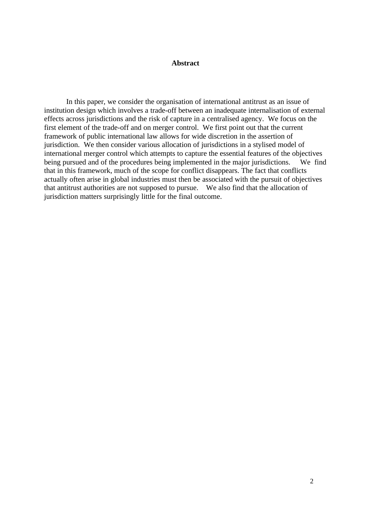#### **Abstract**

In this paper, we consider the organisation of international antitrust as an issue of institution design which involves a trade-off between an inadequate internalisation of external effects across jurisdictions and the risk of capture in a centralised agency. We focus on the first element of the trade-off and on merger control. We first point out that the current framework of public international law allows for wide discretion in the assertion of jurisdiction. We then consider various allocation of jurisdictions in a stylised model of international merger control which attempts to capture the essential features of the objectives being pursued and of the procedures being implemented in the major jurisdictions. We find that in this framework, much of the scope for conflict disappears. The fact that conflicts actually often arise in global industries must then be associated with the pursuit of objectives that antitrust authorities are not supposed to pursue. We also find that the allocation of jurisdiction matters surprisingly little for the final outcome.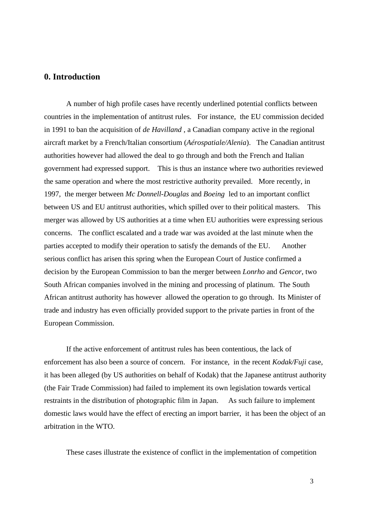# **0. Introduction**

A number of high profile cases have recently underlined potential conflicts between countries in the implementation of antitrust rules. For instance, the EU commission decided in 1991 to ban the acquisition of *de Havilland* , a Canadian company active in the regional aircraft market by a French/Italian consortium (*Aérospatiale/Alenia*). The Canadian antitrust authorities however had allowed the deal to go through and both the French and Italian government had expressed support. This is thus an instance where two authorities reviewed the same operation and where the most restrictive authority prevailed. More recently, in 1997, the merger between *Mc Donnell-Douglas* and *Boeing* led to an important conflict between US and EU antitrust authorities, which spilled over to their political masters. This merger was allowed by US authorities at a time when EU authorities were expressing serious concerns. The conflict escalated and a trade war was avoided at the last minute when the parties accepted to modify their operation to satisfy the demands of the EU. Another serious conflict has arisen this spring when the European Court of Justice confirmed a decision by the European Commission to ban the merger between *Lonrho* and *Gencor*, two South African companies involved in the mining and processing of platinum. The South African antitrust authority has however allowed the operation to go through. Its Minister of trade and industry has even officially provided support to the private parties in front of the European Commission.

If the active enforcement of antitrust rules has been contentious, the lack of enforcement has also been a source of concern. For instance, in the recent *Kodak/Fuji* case, it has been alleged (by US authorities on behalf of Kodak) that the Japanese antitrust authority (the Fair Trade Commission) had failed to implement its own legislation towards vertical restraints in the distribution of photographic film in Japan. As such failure to implement domestic laws would have the effect of erecting an import barrier, it has been the object of an arbitration in the WTO.

These cases illustrate the existence of conflict in the implementation of competition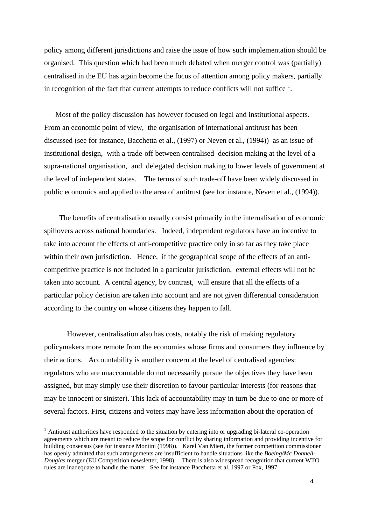policy among different jurisdictions and raise the issue of how such implementation should be organised. This question which had been much debated when merger control was (partially) centralised in the EU has again become the focus of attention among policy makers, partially in recognition of the fact that current attempts to reduce conflicts will not suffice  $<sup>1</sup>$ .</sup>

Most of the policy discussion has however focused on legal and institutional aspects. From an economic point of view, the organisation of international antitrust has been discussed (see for instance, Bacchetta et al., (1997) or Neven et al., (1994)) as an issue of institutional design, with a trade-off between centralised decision making at the level of a supra-national organisation, and delegated decision making to lower levels of government at the level of independent states. The terms of such trade-off have been widely discussed in public economics and applied to the area of antitrust (see for instance, Neven et al., (1994)).

 The benefits of centralisation usually consist primarily in the internalisation of economic spillovers across national boundaries. Indeed, independent regulators have an incentive to take into account the effects of anti-competitive practice only in so far as they take place within their own jurisdiction. Hence, if the geographical scope of the effects of an anticompetitive practice is not included in a particular jurisdiction, external effects will not be taken into account. A central agency, by contrast, will ensure that all the effects of a particular policy decision are taken into account and are not given differential consideration according to the country on whose citizens they happen to fall.

 However, centralisation also has costs, notably the risk of making regulatory policymakers more remote from the economies whose firms and consumers they influence by their actions. Accountability is another concern at the level of centralised agencies: regulators who are unaccountable do not necessarily pursue the objectives they have been assigned, but may simply use their discretion to favour particular interests (for reasons that may be innocent or sinister). This lack of accountability may in turn be due to one or more of several factors. First, citizens and voters may have less information about the operation of

-

<sup>&</sup>lt;sup>1</sup> Antitrust authorities have responded to the situation by entering into or upgrading bi-lateral co-operation agreements which are meant to reduce the scope for conflict by sharing information and providing incentive for building consensus (see for instance Montini (1998)). Karel Van Miert, the former competition commissioner has openly admitted that such arrangements are insufficient to handle situations like the *Boeing/Mc Donnell-Douglas* merger (EU Competition newsletter, 1998). There is also widespread recognition that current WTO rules are inadequate to handle the matter. See for instance Bacchetta et al. 1997 or Fox, 1997.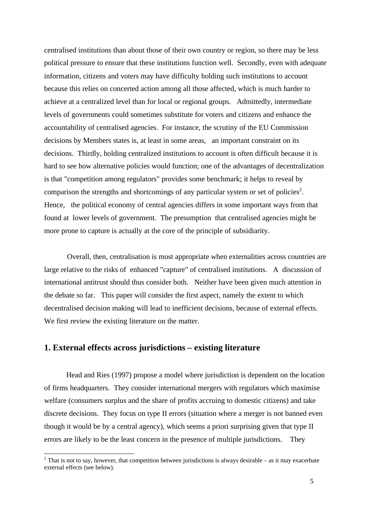centralised institutions than about those of their own country or region, so there may be less political pressure to ensure that these institutions function well. Secondly, even with adequate information, citizens and voters may have difficulty holding such institutions to account because this relies on concerted action among all those affected, which is much harder to achieve at a centralized level than for local or regional groups. Admittedly, intermediate levels of governments could sometimes substitute for voters and citizens and enhance the accountability of centralised agencies. For instance, the scrutiny of the EU Commission decisions by Members states is, at least in some areas, an important constraint on its decisions. Thirdly, holding centralized institutions to account is often difficult because it is hard to see how alternative policies would function; one of the advantages of decentralization is that "competition among regulators" provides some benchmark; it helps to reveal by comparison the strengths and shortcomings of any particular system or set of policies<sup>2</sup>. Hence, the political economy of central agencies differs in some important ways from that found at lower levels of government. The presumption that centralised agencies might be more prone to capture is actually at the core of the principle of subsidiarity.

 Overall, then, centralisation is most appropriate when externalities across countries are large relative to the risks of enhanced "capture" of centralised institutions. A discussion of international antitrust should thus consider both. Neither have been given much attention in the debate so far. This paper will consider the first aspect, namely the extent to which decentralised decision making will lead to inefficient decisions, because of external effects. We first review the existing literature on the matter.

# **1. External effects across jurisdictions – existing literature**

Head and Ries (1997) propose a model where jurisdiction is dependent on the location of firms headquarters. They consider international mergers with regulators which maximise welfare (consumers surplus and the share of profits accruing to domestic citizens) and take discrete decisions. They focus on type II errors (situation where a merger is not banned even though it would be by a central agency), which seems a priori surprising given that type II errors are likely to be the least concern in the presence of multiple jurisdictions. They

<sup>&</sup>lt;sup>2</sup> That is not to say, however, that competition between jurisdictions is always desirable – as it may exacerbate external effects (see below).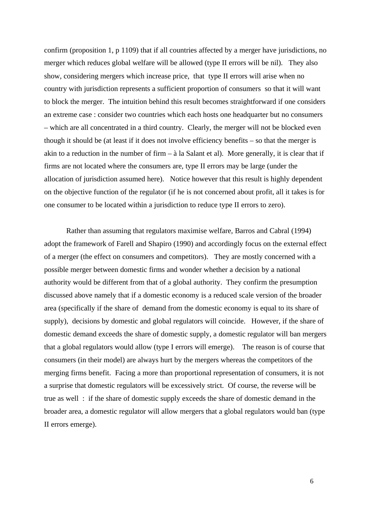confirm (proposition 1, p 1109) that if all countries affected by a merger have jurisdictions, no merger which reduces global welfare will be allowed (type II errors will be nil). They also show, considering mergers which increase price, that type II errors will arise when no country with jurisdiction represents a sufficient proportion of consumers so that it will want to block the merger. The intuition behind this result becomes straightforward if one considers an extreme case : consider two countries which each hosts one headquarter but no consumers – which are all concentrated in a third country. Clearly, the merger will not be blocked even though it should be (at least if it does not involve efficiency benefits – so that the merger is akin to a reduction in the number of firm  $-\hat{a}$  la Salant et al). More generally, it is clear that if firms are not located where the consumers are, type II errors may be large (under the allocation of jurisdiction assumed here). Notice however that this result is highly dependent on the objective function of the regulator (if he is not concerned about profit, all it takes is for one consumer to be located within a jurisdiction to reduce type II errors to zero).

Rather than assuming that regulators maximise welfare, Barros and Cabral (1994) adopt the framework of Farell and Shapiro (1990) and accordingly focus on the external effect of a merger (the effect on consumers and competitors). They are mostly concerned with a possible merger between domestic firms and wonder whether a decision by a national authority would be different from that of a global authority. They confirm the presumption discussed above namely that if a domestic economy is a reduced scale version of the broader area (specifically if the share of demand from the domestic economy is equal to its share of supply), decisions by domestic and global regulators will coincide. However, if the share of domestic demand exceeds the share of domestic supply, a domestic regulator will ban mergers that a global regulators would allow (type I errors will emerge). The reason is of course that consumers (in their model) are always hurt by the mergers whereas the competitors of the merging firms benefit. Facing a more than proportional representation of consumers, it is not a surprise that domestic regulators will be excessively strict. Of course, the reverse will be true as well : if the share of domestic supply exceeds the share of domestic demand in the broader area, a domestic regulator will allow mergers that a global regulators would ban (type II errors emerge).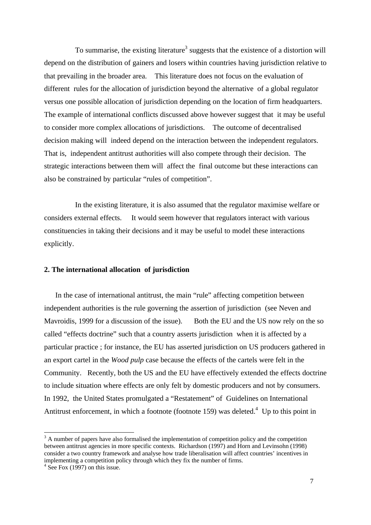To summarise, the existing literature<sup>3</sup> suggests that the existence of a distortion will depend on the distribution of gainers and losers within countries having jurisdiction relative to that prevailing in the broader area. This literature does not focus on the evaluation of different rules for the allocation of jurisdiction beyond the alternative of a global regulator versus one possible allocation of jurisdiction depending on the location of firm headquarters. The example of international conflicts discussed above however suggest that it may be useful to consider more complex allocations of jurisdictions. The outcome of decentralised decision making will indeed depend on the interaction between the independent regulators. That is, independent antitrust authorities will also compete through their decision. The strategic interactions between them will affect the final outcome but these interactions can also be constrained by particular "rules of competition".

In the existing literature, it is also assumed that the regulator maximise welfare or considers external effects. It would seem however that regulators interact with various constituencies in taking their decisions and it may be useful to model these interactions explicitly.

### **2. The international allocation of jurisdiction**

In the case of international antitrust, the main "rule" affecting competition between independent authorities is the rule governing the assertion of jurisdiction (see Neven and Mavroidis, 1999 for a discussion of the issue). Both the EU and the US now rely on the so called "effects doctrine" such that a country asserts jurisdiction when it is affected by a particular practice ; for instance, the EU has asserted jurisdiction on US producers gathered in an export cartel in the *Wood pulp* case because the effects of the cartels were felt in the Community. Recently, both the US and the EU have effectively extended the effects doctrine to include situation where effects are only felt by domestic producers and not by consumers. In 1992, the United States promulgated a "Restatement" of Guidelines on International Antitrust enforcement, in which a footnote (footnote 159) was deleted.<sup>4</sup> Up to this point in

-

 $3$  A number of papers have also formalised the implementation of competition policy and the competition between antitrust agencies in more specific contexts. Richardson (1997) and Horn and Levinsohn (1998) consider a two country framework and analyse how trade liberalisation will affect countries' incentives in implementing a competition policy through which they fix the number of firms.

<sup>4</sup> See Fox (1997) on this issue.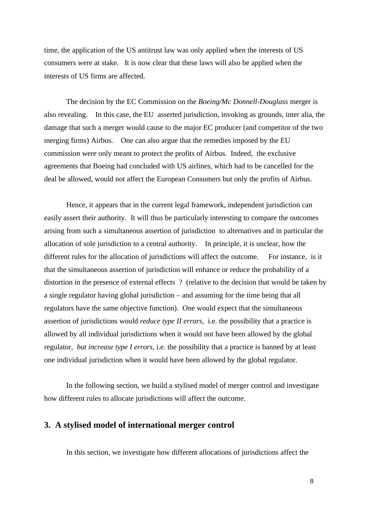time, the application of the US antitrust law was only applied when the interests of US consumers were at stake. It is now clear that these laws will also be applied when the interests of US firms are affected.

The decision by the EC Commission on the *Boeing/Mc Donnell-Douglass* merger is also revealing. In this case, the EU asserted jurisdiction, invoking as grounds, inter alia, the damage that such a merger would cause to the major EC producer (and competitor of the two merging firms) Airbus. One can also argue that the remedies imposed by the EU commission were only meant to protect the profits of Airbus. Indeed, the exclusive agreements that Boeing had concluded with US airlines, which had to be cancelled for the deal be allowed, would not affect the European Consumers but only the profits of Airbus.

Hence, it appears that in the current legal framework, independent jurisdiction can easily assert their authority. It will thus be particularly interesting to compare the outcomes arising from such a simultaneous assertion of jurisdiction to alternatives and in particular the allocation of sole jurisdiction to a central authority. In principle, it is unclear, how the different rules for the allocation of jurisdictions will affect the outcome. For instance, is it that the simultaneous assertion of jurisdiction will enhance or reduce the probability of a distortion in the presence of external effects ? (relative to the decision that would be taken by a single regulator having global jurisdiction – and assuming for the time being that all regulators have the same objective function). One would expect that the simultaneous assertion of jurisdictions would *reduce type II errors*, i.e. the possibility that a practice is allowed by all individual jurisdictions when it would not have been allowed by the global regulator, *but increase type I errors*, i.e. the possibility that a practice is banned by at least one individual jurisdiction when it would have been allowed by the global regulator.

In the following section, we build a stylised model of merger control and investigate how different rules to allocate jurisdictions will affect the outcome.

### **3. A stylised model of international merger control**

In this section, we investigate how different allocations of jurisdictions affect the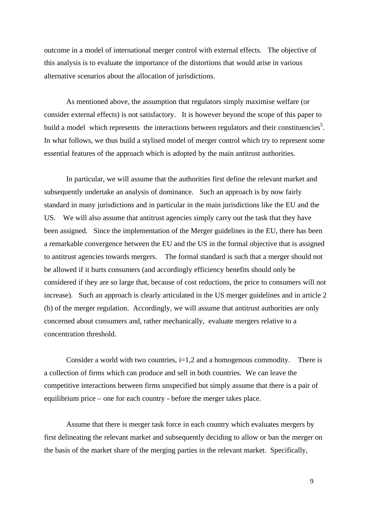outcome in a model of international merger control with external effects. The objective of this analysis is to evaluate the importance of the distortions that would arise in various alternative scenarios about the allocation of jurisdictions.

As mentioned above, the assumption that regulators simply maximise welfare (or consider external effects) is not satisfactory. It is however beyond the scope of this paper to build a model which represents the interactions between regulators and their constituencies<sup>5</sup>. In what follows, we thus build a stylised model of merger control which try to represent some essential features of the approach which is adopted by the main antitrust authorities.

In particular, we will assume that the authorities first define the relevant market and subsequently undertake an analysis of dominance. Such an approach is by now fairly standard in many jurisdictions and in particular in the main jurisdictions like the EU and the US. We will also assume that antitrust agencies simply carry out the task that they have been assigned. Since the implementation of the Merger guidelines in the EU, there has been a remarkable convergence between the EU and the US in the formal objective that is assigned to antitrust agencies towards mergers. The formal standard is such that a merger should not be allowed if it hurts consumers (and accordingly efficiency benefits should only be considered if they are so large that, because of cost reductions, the price to consumers will not increase). Such an approach is clearly articulated in the US merger guidelines and in article 2 (b) of the merger regulation. Accordingly, we will assume that antitrust authorities are only concerned about consumers and, rather mechanically, evaluate mergers relative to a concentration threshold.

Consider a world with two countries,  $i=1,2$  and a homogenous commodity. There is a collection of firms which can produce and sell in both countries. We can leave the competitive interactions between firms unspecified but simply assume that there is a pair of equilibrium price – one for each country - before the merger takes place.

Assume that there is merger task force in each country which evaluates mergers by first delineating the relevant market and subsequently deciding to allow or ban the merger on the basis of the market share of the merging parties in the relevant market. Specifically,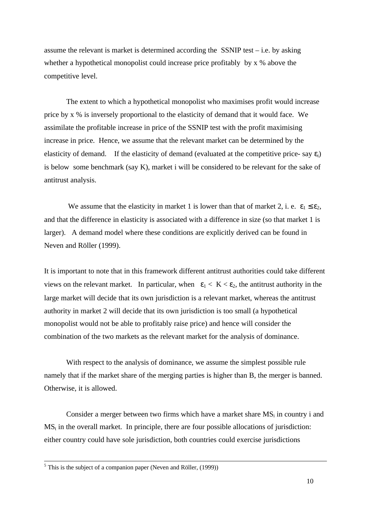assume the relevant is market is determined according the SSNIP test – i.e. by asking whether a hypothetical monopolist could increase price profitably by x % above the competitive level.

The extent to which a hypothetical monopolist who maximises profit would increase price by x % is inversely proportional to the elasticity of demand that it would face. We assimilate the profitable increase in price of the SSNIP test with the profit maximising increase in price. Hence, we assume that the relevant market can be determined by the elasticity of demand. If the elasticity of demand (evaluated at the competitive price- say  $\varepsilon_i$ ) is below some benchmark (say K), market i will be considered to be relevant for the sake of antitrust analysis.

We assume that the elasticity in market 1 is lower than that of market 2, i. e.  $\varepsilon_1 \leq \varepsilon_2$ , and that the difference in elasticity is associated with a difference in size (so that market 1 is larger). A demand model where these conditions are explicitly derived can be found in Neven and Röller (1999).

It is important to note that in this framework different antitrust authorities could take different views on the relevant market. In particular, when  $\varepsilon_1 < K < \varepsilon_2$ , the antitrust authority in the large market will decide that its own jurisdiction is a relevant market, whereas the antitrust authority in market 2 will decide that its own jurisdiction is too small (a hypothetical monopolist would not be able to profitably raise price) and hence will consider the combination of the two markets as the relevant market for the analysis of dominance.

With respect to the analysis of dominance, we assume the simplest possible rule namely that if the market share of the merging parties is higher than B, the merger is banned. Otherwise, it is allowed.

Consider a merger between two firms which have a market share MSi in country i and MS<sub>t</sub> in the overall market. In principle, there are four possible allocations of jurisdiction: either country could have sole jurisdiction, both countries could exercise jurisdictions

<sup>&</sup>lt;sup>5</sup> This is the subject of a companion paper (Neven and Röller, (1999))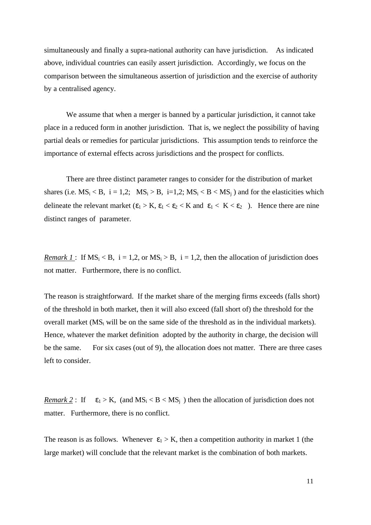simultaneously and finally a supra-national authority can have jurisdiction. As indicated above, individual countries can easily assert jurisdiction. Accordingly, we focus on the comparison between the simultaneous assertion of jurisdiction and the exercise of authority by a centralised agency.

We assume that when a merger is banned by a particular jurisdiction, it cannot take place in a reduced form in another jurisdiction. That is, we neglect the possibility of having partial deals or remedies for particular jurisdictions. This assumption tends to reinforce the importance of external effects across jurisdictions and the prospect for conflicts.

There are three distinct parameter ranges to consider for the distribution of market shares (i.e.  $MS_i < B$ , i = 1,2;  $MS_i > B$ , i=1,2;  $MS_i < B < MS_i$ ) and for the elasticities which delineate the relevant market  $(\epsilon_1 > K, \epsilon_1 < \epsilon_2 < K$  and  $\epsilon_1 < K < \epsilon_2$ ). Hence there are nine distinct ranges of parameter.

*Remark 1* : If  $MS_i < B$ ,  $i = 1,2$ , or  $MS_i > B$ ,  $i = 1,2$ , then the allocation of jurisdiction does not matter. Furthermore, there is no conflict.

The reason is straightforward. If the market share of the merging firms exceeds (falls short) of the threshold in both market, then it will also exceed (fall short of) the threshold for the overall market ( $MS_t$  will be on the same side of the threshold as in the individual markets). Hence, whatever the market definition adopted by the authority in charge, the decision will be the same. For six cases (out of 9), the allocation does not matter. There are three cases left to consider.

*Remark 2*: If  $\varepsilon_1 > K$ , (and  $MS_i < B < MS_i$ ) then the allocation of jurisdiction does not matter. Furthermore, there is no conflict.

The reason is as follows. Whenever  $\varepsilon_1 > K$ , then a competition authority in market 1 (the large market) will conclude that the relevant market is the combination of both markets.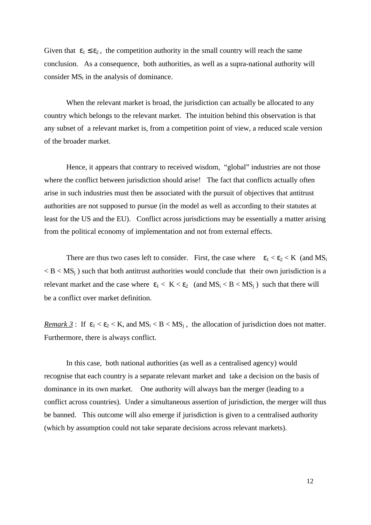Given that  $\epsilon_1 \leq \epsilon_2$ , the competition authority in the small country will reach the same conclusion. As a consequence, both authorities, as well as a supra-national authority will consider  $MS_t$  in the analysis of dominance.

When the relevant market is broad, the jurisdiction can actually be allocated to any country which belongs to the relevant market. The intuition behind this observation is that any subset of a relevant market is, from a competition point of view, a reduced scale version of the broader market.

Hence, it appears that contrary to received wisdom, "global" industries are not those where the conflict between jurisdiction should arise! The fact that conflicts actually often arise in such industries must then be associated with the pursuit of objectives that antitrust authorities are not supposed to pursue (in the model as well as according to their statutes at least for the US and the EU). Conflict across jurisdictions may be essentially a matter arising from the political economy of implementation and not from external effects.

There are thus two cases left to consider. First, the case where  $\varepsilon_1 < \varepsilon_2 < K$  (and  $MS_i$ )  $< B < MS<sub>i</sub>$ ) such that both antitrust authorities would conclude that their own jurisdiction is a relevant market and the case where  $\varepsilon_1 < K < \varepsilon_2$  (and  $MS_i < B < MS_i$ ) such that there will be a conflict over market definition.

*Remark 3*: If  $\varepsilon_1 < \varepsilon_2 < K$ , and  $MS_i < B < MS_i$ , the allocation of jurisdiction does not matter. Furthermore, there is always conflict.

In this case, both national authorities (as well as a centralised agency) would recognise that each country is a separate relevant market and take a decision on the basis of dominance in its own market. One authority will always ban the merger (leading to a conflict across countries). Under a simultaneous assertion of jurisdiction, the merger will thus be banned. This outcome will also emerge if jurisdiction is given to a centralised authority (which by assumption could not take separate decisions across relevant markets).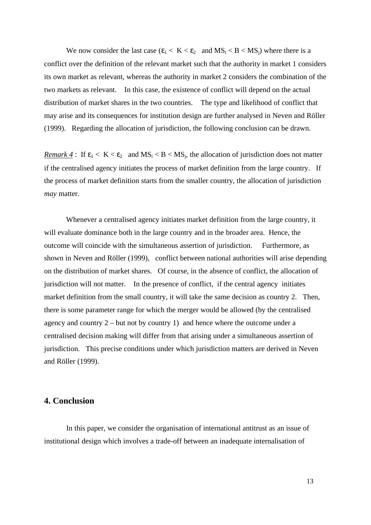We now consider the last case  $(\epsilon_1 < K < \epsilon_2$  and  $MS_i < B < MS_i$ ) where there is a conflict over the definition of the relevant market such that the authority in market 1 considers its own market as relevant, whereas the authority in market 2 considers the combination of the two markets as relevant. In this case, the existence of conflict will depend on the actual distribution of market shares in the two countries. The type and likelihood of conflict that may arise and its consequences for institution design are further analysed in Neven and Röller (1999). Regarding the allocation of jurisdiction, the following conclusion can be drawn.

*Remark 4* : If  $\varepsilon_1 < K < \varepsilon_2$  and  $MS_i < B < MS_i$ , the allocation of jurisdiction does not matter if the centralised agency initiates the process of market definition from the large country. If the process of market definition starts from the smaller country, the allocation of jurisdiction *may* matter.

Whenever a centralised agency initiates market definition from the large country, it will evaluate dominance both in the large country and in the broader area. Hence, the outcome will coincide with the simultaneous assertion of jurisdiction. Furthermore, as shown in Neven and Röller (1999), conflict between national authorities will arise depending on the distribution of market shares. Of course, in the absence of conflict, the allocation of jurisdiction will not matter. In the presence of conflict, if the central agency initiates market definition from the small country, it will take the same decision as country 2. Then, there is some parameter range for which the merger would be allowed (by the centralised agency and country 2 – but not by country 1) and hence where the outcome under a centralised decision making will differ from that arising under a simultaneous assertion of jurisdiction. This precise conditions under which jurisdiction matters are derived in Neven and Röller (1999).

# **4. Conclusion**

In this paper, we consider the organisation of international antitrust as an issue of institutional design which involves a trade-off between an inadequate internalisation of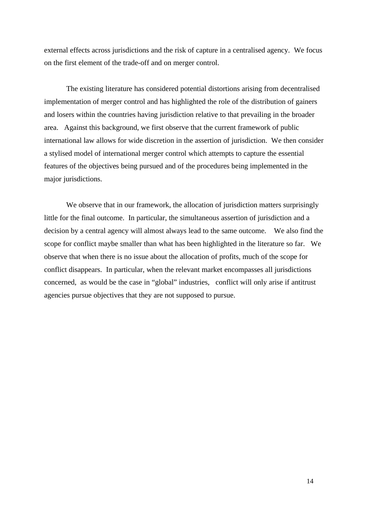external effects across jurisdictions and the risk of capture in a centralised agency. We focus on the first element of the trade-off and on merger control.

The existing literature has considered potential distortions arising from decentralised implementation of merger control and has highlighted the role of the distribution of gainers and losers within the countries having jurisdiction relative to that prevailing in the broader area. Against this background, we first observe that the current framework of public international law allows for wide discretion in the assertion of jurisdiction. We then consider a stylised model of international merger control which attempts to capture the essential features of the objectives being pursued and of the procedures being implemented in the major jurisdictions.

We observe that in our framework, the allocation of jurisdiction matters surprisingly little for the final outcome. In particular, the simultaneous assertion of jurisdiction and a decision by a central agency will almost always lead to the same outcome. We also find the scope for conflict maybe smaller than what has been highlighted in the literature so far. We observe that when there is no issue about the allocation of profits, much of the scope for conflict disappears. In particular, when the relevant market encompasses all jurisdictions concerned, as would be the case in "global" industries, conflict will only arise if antitrust agencies pursue objectives that they are not supposed to pursue.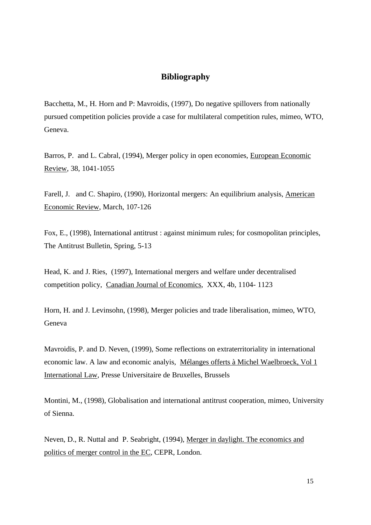# **Bibliography**

Bacchetta, M., H. Horn and P: Mavroidis, (1997), Do negative spillovers from nationally pursued competition policies provide a case for multilateral competition rules, mimeo, WTO, Geneva.

Barros, P. and L. Cabral, (1994), Merger policy in open economies, European Economic Review, 38, 1041-1055

Farell, J. and C. Shapiro, (1990), Horizontal mergers: An equilibrium analysis, American Economic Review, March, 107-126

Fox, E., (1998), International antitrust : against minimum rules; for cosmopolitan principles, The Antitrust Bulletin, Spring, 5-13

Head, K. and J. Ries, (1997), International mergers and welfare under decentralised competition policy, Canadian Journal of Economics, XXX, 4b, 1104- 1123

Horn, H. and J. Levinsohn, (1998), Merger policies and trade liberalisation, mimeo, WTO, Geneva

Mavroidis, P. and D. Neven, (1999), Some reflections on extraterritoriality in international economic law. A law and economic analyis, Mélanges offerts à Michel Waelbroeck, Vol 1 International Law, Presse Universitaire de Bruxelles, Brussels

Montini, M., (1998), Globalisation and international antitrust cooperation, mimeo, University of Sienna.

Neven, D., R. Nuttal and P. Seabright, (1994), Merger in daylight. The economics and politics of merger control in the EC, CEPR, London.